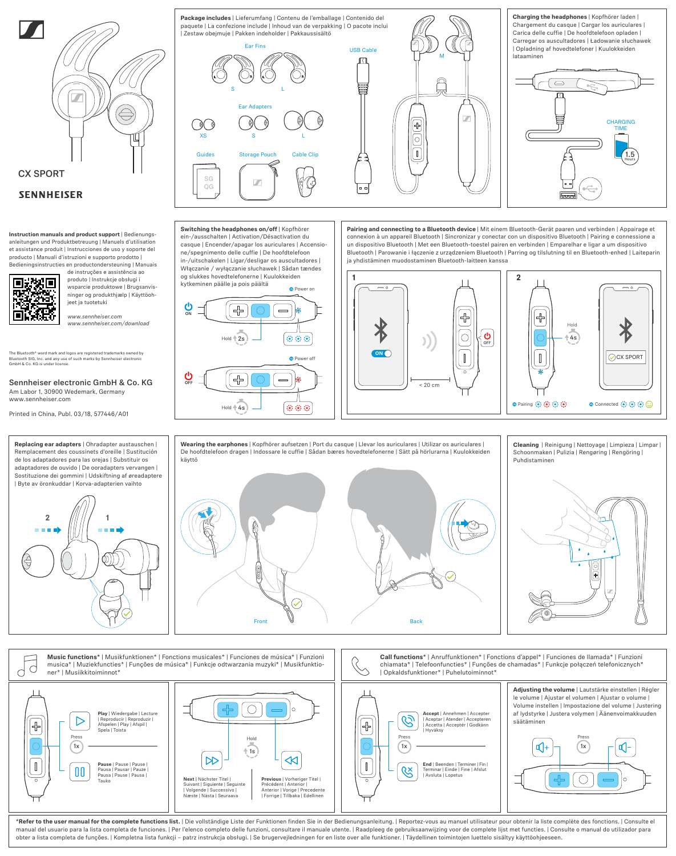

## **SENNHEISER**

**Instruction manuals and product support** | Bedienungsanleitungen und Produktbetreuung | Manuels d'utilisation et assistance produit | Instrucciones de uso y soporte del producto | Manuali d'istruzioni e supporto prodotto | Bedieningsinstructies en productondersteuning | Manuais

de instruções e assistência ao

produto | Instrukcje obsługi i wsparcie produktowe | Brugsanvisninger og produkthjælp | Käyttöohjeet ja tuotetuki

*www.sennheiser.com www.sennheiser.com/download* ON

OFF

 $\frac{1}{2}$ s

╬

╬

kytkeminen päälle ja pois päältä

**Switching the headphones on/off** | Kopfhörer ein-/ausschalten | Activation/Désactivation du casque | Encender/apagar los auriculares | Accensione/spegnimento delle cuffie | De hoofdtelefoon in-/uitschakelen | Ligar/desligar os auscultadores | Włączanie / wyłączanie słuchawek | Sådan tændes og slukkes hovedtelefonerne | Kuulokkeiden

 $Hold + 4s$ 

The Bluetooth® word mark and logos are registered trademarks owned by Bluetooth SIG, Inc. and any use of such marks by Sennheiser electronic GmbH & Co. KG is under license.

Sennheiser electronic GmbH & Co. KG Am Labor 1, 30900 Wedemark, Germany www.sennheiser.com

**Replacing ear adapters** | Ohradapter austauschen |

Printed in China, Publ. 03/18, 577446/A01



Ear Adapters Storage Pouch Cable Clip USB Cable XS S L  $\overline{OG}$ Ear Fins S L **Package includes** | Lieferumfang | Contenu de l'emballage | Contenido del paquete | La confezione include | Inhoud van de verpakking | O pacote inclui | Zestaw obejmuje | Pakken indeholder | Pakkaussisältö

**O** Power on

**O** Power off

0000

(6) (6) (6)



**Charging the headphones** | Kopfhörer laden | Chargement du casque | Cargar los auriculares | Carica delle cuffie | De hoofdtelefoon opladen | Carregar os auscultadores | Ładowanie słuchawek | Opladning af hovedtelefoner | Kuulokkeiden lataaminen



**Pairing and connecting to a Bluetooth device** | Mit einem Bluetooth-Gerät paaren und verbinden | Appairage et connexion à un appareil Bluetooth | Sincronizar y conectar con un dispositivo Bluetooth | Pairing e connessione a un dispositivo Bluetooth | Met een Bluetooth-toestel pairen en verbinden | Emparelhar e ligar a um dispositivo Bluetooth | Parowanie i łączenie z urządzeniem Bluetooth | Parring og tilslutning til en Bluetooth-enhed | Laiteparin ja yhdistäminen muodostaminen Bluetooth-laitteen kanssa







**Music functions**\* | Musikfunktionen\* | Fonctions musicales\* | Funciones de música\* | Funzioni **Call functions**\* | Anruffunktionen\* | Fonctions d'appel\* | Funciones de llamada\* | Funzioni musica\* | Muziekfuncties\* | Funções de música\* | Funkcje odtwarzania muzyki\* | Musikfunktiochiamata\* | Telefoonfuncties\* | Funções de chamadas\* | Funkcje połączeń telefonicznych\*  $\bigcirc$ C ner\* | Musiikkitoiminnot\* | Opkaldsfunktioner\* | Puhelutoiminnot\* **Adjusting the volume** | Lautstärke einstellen | Régler le volume | Ajustar el volumen | Ajustar o volume | Volume instellen | Impostazione del volume | Justering  $\bigcirc$  $\circ$ af lydstyrke | Justera volymen | Äänenvoimakkuude **Play** | Wiedergabe | Lecture<br>| Reproducir | Reproduzir |<br>Afspelen | Play | Afspil | **Accept** | Annehmen | Accepter<br>| Aceptar | Atender | Accepteren<br>| Accetta | Acceptér | Godkänn  $\mathcal{C}$  $\triangleright$  $\bigoplus$ säätäminen ╬ Spela | Toista | Hyväksy Press Press and the contract of the contract of the contract of the contract of the contract of the contract of the contract of the contract of the contract of the contract of the contract of the contract of the contract of the Press  $(1x)$  $(1x)$  $\left(1 \times \right)$ ৰ্(⊦ **d**- $[1s]$  $\mathbb{R}$  $\mathbb{R}^2$ **Pause** | Pause | Pause |  $\|$ **End** | Beenden | Terminer | Fin | Terminar | Einde | Fine | Afslut  ${\color{red}00}$ Pausa | Pausar | Pauze | Pausa | Pause | Pausa | | Avsluta | Lopetus **Next** | Nächster Titel | **Previous** | Vorheriger Titel | C Tauko Suivant | Siguiente | Seguinte Précédent | Anterior | | Volgende | Successivo | Anterior | Vorige | Precedente | Forrige | Tillbaka | Edellinen Næste | Nästa | Seuraava

\*Refer to the user manual for the complete functions list. | Die vollständige Liste der Funktionen finden Sie in der Bedienungsanleitung. | Reportez-vous au manuel utilisateur pour obtenir la liste complète des fonctions. manual del usuario para la lista completa de funciones. | Per l'elenco completo delle funzioni, consultare il manuale utente. | Raadpleeg de gebruiksaanwijzing voor de complete lijst met functies. | Consulte o manual do ut obter a lista completa de funções. | Kompletna lista funkcji – patrz instrukcja obsługi. | Se brugervejledningen for en liste over alle funktioner. | Täydellinen toimintojen luettelo sisältyy käyttöohjeeseen.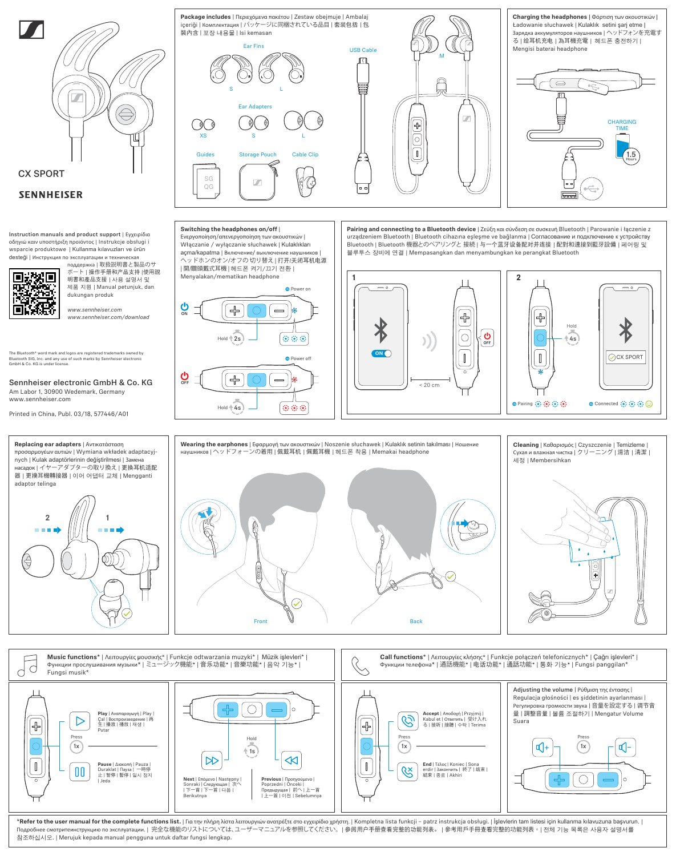

Printed in China, Publ. 03/18, 577446/A01



**Wearing the earphones** | Εφαρμογή των ακουστικών | Noszenie słuchawek | Kulaklık setinin takılması | Ношение наушников | ヘッドフォーンの着用 | 佩戴耳机 | 佩戴耳機 | 헤드폰 착용 | Memakai headphone 8 Front  $\mathbb {V}$  | / Back



**Cleaning** | Καθαρισμός | Czyszczenie | Temizleme | Сухая и влажная чистка | クリーニング | 清洁 | 清潔 |

세정 | Membersihkan



\*Refer to the user manual for the complete functions list. | Για την πλήρη λίστα λειτουργιών ανατρέξτε στο εγχειρίδιο χρήστη. | Kompletna lista funkcji - patrz instrukcja obsługi. | İşlevlerin tam listesi için kullanma kı Подробнее смотритеинструкцию по эксплуатации. | 完全な機能のリストについては、ユーザーマニュアルを参照してください。 | 参阅用户手册查看完整的功能列表。 | 參考用戶手冊查看完整的功能列表。 | 전체 기능 목록은 사용자 설명서를 참조하십시오. | Merujuk kepada manual pengguna untuk daftar fungsi lengkap.